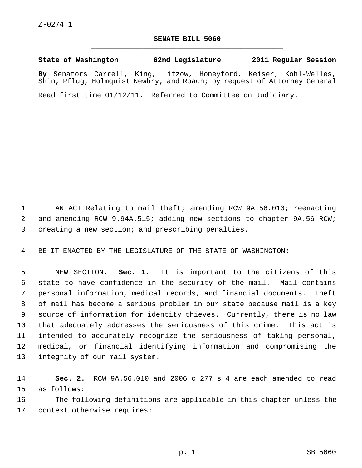## **SENATE BILL 5060** \_\_\_\_\_\_\_\_\_\_\_\_\_\_\_\_\_\_\_\_\_\_\_\_\_\_\_\_\_\_\_\_\_\_\_\_\_\_\_\_\_\_\_\_\_

**State of Washington 62nd Legislature 2011 Regular Session**

**By** Senators Carrell, King, Litzow, Honeyford, Keiser, Kohl-Welles, Shin, Pflug, Holmquist Newbry, and Roach; by request of Attorney General

Read first time 01/12/11. Referred to Committee on Judiciary.

 1 AN ACT Relating to mail theft; amending RCW 9A.56.010; reenacting 2 and amending RCW 9.94A.515; adding new sections to chapter 9A.56 RCW; 3 creating a new section; and prescribing penalties.

4 BE IT ENACTED BY THE LEGISLATURE OF THE STATE OF WASHINGTON:

 5 NEW SECTION. **Sec. 1.** It is important to the citizens of this 6 state to have confidence in the security of the mail. Mail contains 7 personal information, medical records, and financial documents. Theft 8 of mail has become a serious problem in our state because mail is a key 9 source of information for identity thieves. Currently, there is no law 10 that adequately addresses the seriousness of this crime. This act is 11 intended to accurately recognize the seriousness of taking personal, 12 medical, or financial identifying information and compromising the 13 integrity of our mail system.

14 **Sec. 2.** RCW 9A.56.010 and 2006 c 277 s 4 are each amended to read 15 as follows:

16 The following definitions are applicable in this chapter unless the 17 context otherwise requires: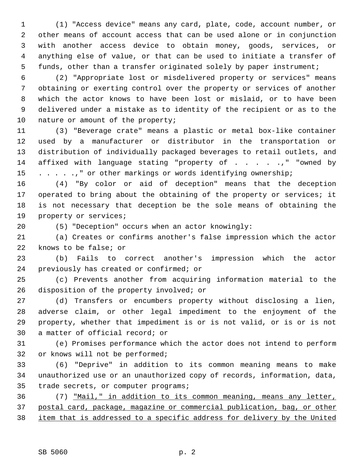1 (1) "Access device" means any card, plate, code, account number, or 2 other means of account access that can be used alone or in conjunction 3 with another access device to obtain money, goods, services, or 4 anything else of value, or that can be used to initiate a transfer of 5 funds, other than a transfer originated solely by paper instrument;

 6 (2) "Appropriate lost or misdelivered property or services" means 7 obtaining or exerting control over the property or services of another 8 which the actor knows to have been lost or mislaid, or to have been 9 delivered under a mistake as to identity of the recipient or as to the 10 nature or amount of the property;

11 (3) "Beverage crate" means a plastic or metal box-like container 12 used by a manufacturer or distributor in the transportation or 13 distribution of individually packaged beverages to retail outlets, and 14 affixed with language stating "property of . . . . . " "owned by 15 . . . . .," or other markings or words identifying ownership;

16 (4) "By color or aid of deception" means that the deception 17 operated to bring about the obtaining of the property or services; it 18 is not necessary that deception be the sole means of obtaining the 19 property or services;

20 (5) "Deception" occurs when an actor knowingly:

21 (a) Creates or confirms another's false impression which the actor 22 knows to be false; or

23 (b) Fails to correct another's impression which the actor 24 previously has created or confirmed; or

25 (c) Prevents another from acquiring information material to the 26 disposition of the property involved; or

27 (d) Transfers or encumbers property without disclosing a lien, 28 adverse claim, or other legal impediment to the enjoyment of the 29 property, whether that impediment is or is not valid, or is or is not 30 a matter of official record; or

31 (e) Promises performance which the actor does not intend to perform 32 or knows will not be performed;

33 (6) "Deprive" in addition to its common meaning means to make 34 unauthorized use or an unauthorized copy of records, information, data, 35 trade secrets, or computer programs;

36 (7) "Mail," in addition to its common meaning, means any letter, 37 postal card, package, magazine or commercial publication, bag, or other 38 item that is addressed to a specific address for delivery by the United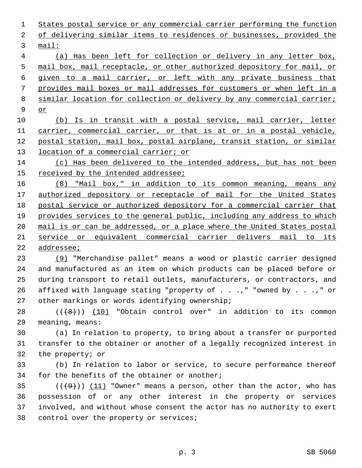States postal service or any commercial carrier performing the function of delivering similar items to residences or businesses, provided the 3 mail: (a) Has been left for collection or delivery in any letter box, mail box, mail receptacle, or other authorized depository for mail, or given to a mail carrier, or left with any private business that provides mail boxes or mail addresses for customers or when left in a similar location for collection or delivery by any commercial carrier; 9 or (b) Is in transit with a postal service, mail carrier, letter

11 carrier, commercial carrier, or that is at or in a postal vehicle, 12 postal station, mail box, postal airplane, transit station, or similar 13 location of a commercial carrier; or

14 (c) Has been delivered to the intended address, but has not been 15 received by the intended addressee;

 (8) "Mail box," in addition to its common meaning, means any authorized depository or receptacle of mail for the United States postal service or authorized depository for a commercial carrier that provides services to the general public, including any address to which mail is or can be addressed, or a place where the United States postal service or equivalent commercial carrier delivers mail to its addressee;

23 (9) "Merchandise pallet" means a wood or plastic carrier designed 24 and manufactured as an item on which products can be placed before or 25 during transport to retail outlets, manufacturers, or contractors, and 26 affixed with language stating "property of . . .," "owned by . . .," or 27 other markings or words identifying ownership;

28  $((+8))$   $(10)$  "Obtain control over" in addition to its common 29 meaning, means:

30 (a) In relation to property, to bring about a transfer or purported 31 transfer to the obtainer or another of a legally recognized interest in 32 the property; or

33 (b) In relation to labor or service, to secure performance thereof 34 for the benefits of the obtainer or another;

35 ( $(\frac{49}{11})$   $(11)$  "Owner" means a person, other than the actor, who has 36 possession of or any other interest in the property or services 37 involved, and without whose consent the actor has no authority to exert 38 control over the property or services;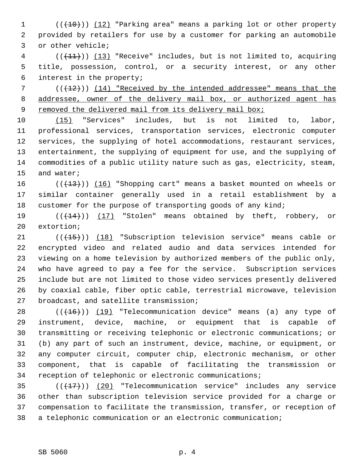$1$  (( $\left(\frac{10}{10}\right)$ ) (12) "Parking area" means a parking lot or other property 2 provided by retailers for use by a customer for parking an automobile 3 or other vehicle;

4 (( $(11)$ )) (13) "Receive" includes, but is not limited to, acquiring 5 title, possession, control, or a security interest, or any other 6 interest in the property;

7  $((+12))$  (14) "Received by the intended addressee" means that the 8 addressee, owner of the delivery mail box, or authorized agent has 9 removed the delivered mail from its delivery mail box;

10 (15) "Services" includes, but is not limited to, labor, 11 professional services, transportation services, electronic computer 12 services, the supplying of hotel accommodations, restaurant services, 13 entertainment, the supplying of equipment for use, and the supplying of 14 commodities of a public utility nature such as gas, electricity, steam, 15 and water;

16 (( $\left(\frac{13}{15}\right)$ ) (16) "Shopping cart" means a basket mounted on wheels or 17 similar container generally used in a retail establishment by a 18 customer for the purpose of transporting goods of any kind;

19  $((+14))$   $(17)$  "Stolen" means obtained by theft, robbery, or 20 extortion;

21 (( $(15)$ )) (18) "Subscription television service" means cable or 22 encrypted video and related audio and data services intended for 23 viewing on a home television by authorized members of the public only, 24 who have agreed to pay a fee for the service. Subscription services 25 include but are not limited to those video services presently delivered 26 by coaxial cable, fiber optic cable, terrestrial microwave, television 27 broadcast, and satellite transmission;

28 (((16)) (19) "Telecommunication device" means (a) any type of 29 instrument, device, machine, or equipment that is capable of 30 transmitting or receiving telephonic or electronic communications; or 31 (b) any part of such an instrument, device, machine, or equipment, or 32 any computer circuit, computer chip, electronic mechanism, or other 33 component, that is capable of facilitating the transmission or 34 reception of telephonic or electronic communications;

35  $((+17))$  (20) "Telecommunication service" includes any service 36 other than subscription television service provided for a charge or 37 compensation to facilitate the transmission, transfer, or reception of 38 a telephonic communication or an electronic communication;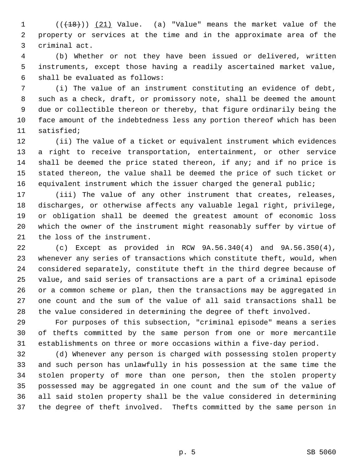1 (( $(18)$ )) (21) Value. (a) "Value" means the market value of the 2 property or services at the time and in the approximate area of the 3 criminal act.

 4 (b) Whether or not they have been issued or delivered, written 5 instruments, except those having a readily ascertained market value, 6 shall be evaluated as follows:

 7 (i) The value of an instrument constituting an evidence of debt, 8 such as a check, draft, or promissory note, shall be deemed the amount 9 due or collectible thereon or thereby, that figure ordinarily being the 10 face amount of the indebtedness less any portion thereof which has been 11 satisfied;

12 (ii) The value of a ticket or equivalent instrument which evidences 13 a right to receive transportation, entertainment, or other service 14 shall be deemed the price stated thereon, if any; and if no price is 15 stated thereon, the value shall be deemed the price of such ticket or 16 equivalent instrument which the issuer charged the general public;

17 (iii) The value of any other instrument that creates, releases, 18 discharges, or otherwise affects any valuable legal right, privilege, 19 or obligation shall be deemed the greatest amount of economic loss 20 which the owner of the instrument might reasonably suffer by virtue of 21 the loss of the instrument.

22 (c) Except as provided in RCW 9A.56.340(4) and 9A.56.350(4), 23 whenever any series of transactions which constitute theft, would, when 24 considered separately, constitute theft in the third degree because of 25 value, and said series of transactions are a part of a criminal episode 26 or a common scheme or plan, then the transactions may be aggregated in 27 one count and the sum of the value of all said transactions shall be 28 the value considered in determining the degree of theft involved.

29 For purposes of this subsection, "criminal episode" means a series 30 of thefts committed by the same person from one or more mercantile 31 establishments on three or more occasions within a five-day period.

32 (d) Whenever any person is charged with possessing stolen property 33 and such person has unlawfully in his possession at the same time the 34 stolen property of more than one person, then the stolen property 35 possessed may be aggregated in one count and the sum of the value of 36 all said stolen property shall be the value considered in determining 37 the degree of theft involved. Thefts committed by the same person in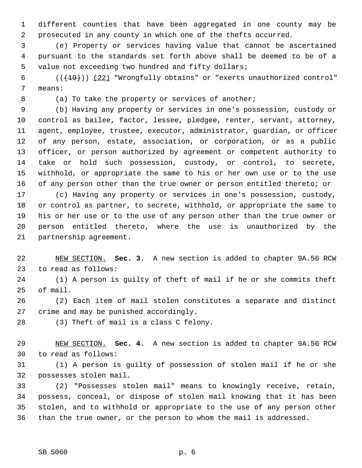1 different counties that have been aggregated in one county may be 2 prosecuted in any county in which one of the thefts occurred.

 3 (e) Property or services having value that cannot be ascertained 4 pursuant to the standards set forth above shall be deemed to be of a 5 value not exceeding two hundred and fifty dollars;

6  $((+19))$  (22) "Wrongfully obtains" or "exerts unauthorized control" 7 means:

8 (a) To take the property or services of another;

 9 (b) Having any property or services in one's possession, custody or 10 control as bailee, factor, lessee, pledgee, renter, servant, attorney, 11 agent, employee, trustee, executor, administrator, guardian, or officer 12 of any person, estate, association, or corporation, or as a public 13 officer, or person authorized by agreement or competent authority to 14 take or hold such possession, custody, or control, to secrete, 15 withhold, or appropriate the same to his or her own use or to the use 16 of any person other than the true owner or person entitled thereto; or

17 (c) Having any property or services in one's possession, custody, 18 or control as partner, to secrete, withhold, or appropriate the same to 19 his or her use or to the use of any person other than the true owner or 20 person entitled thereto, where the use is unauthorized by the 21 partnership agreement.

22 NEW SECTION. **Sec. 3.** A new section is added to chapter 9A.56 RCW 23 to read as follows:

24 (1) A person is guilty of theft of mail if he or she commits theft 25 of mail.

26 (2) Each item of mail stolen constitutes a separate and distinct 27 crime and may be punished accordingly.

28 (3) Theft of mail is a class C felony.

29 NEW SECTION. **Sec. 4.** A new section is added to chapter 9A.56 RCW 30 to read as follows:

31 (1) A person is guilty of possession of stolen mail if he or she 32 possesses stolen mail.

33 (2) "Possesses stolen mail" means to knowingly receive, retain, 34 possess, conceal, or dispose of stolen mail knowing that it has been 35 stolen, and to withhold or appropriate to the use of any person other 36 than the true owner, or the person to whom the mail is addressed.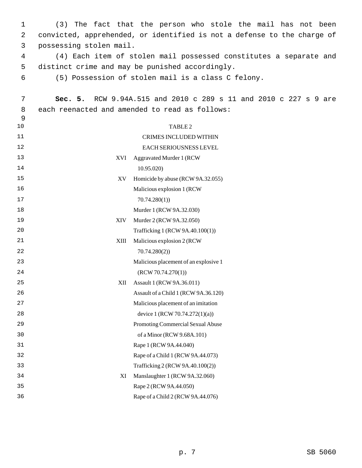1 (3) The fact that the person who stole the mail has not been 2 convicted, apprehended, or identified is not a defense to the charge of 3 possessing stolen mail.

 4 (4) Each item of stolen mail possessed constitutes a separate and 5 distinct crime and may be punished accordingly.

6 (5) Possession of stolen mail is a class C felony.

| 7  | Sec. 5. | RCW 9.94A.515 and 2010 c 289 s 11 and 2010 c 227 s 9 are |  |  |  |  |
|----|---------|----------------------------------------------------------|--|--|--|--|
| 8  |         | each reenacted and amended to read as follows:           |  |  |  |  |
| 9  |         |                                                          |  |  |  |  |
| 10 |         | TABLE <sub>2</sub>                                       |  |  |  |  |
| 11 |         | CRIMES INCLUDED WITHIN                                   |  |  |  |  |
| 12 |         | EACH SERIOUSNESS LEVEL                                   |  |  |  |  |
| 13 | XVI     | <b>Aggravated Murder 1 (RCW</b>                          |  |  |  |  |
| 14 |         | 10.95.020)                                               |  |  |  |  |
| 15 | XV      | Homicide by abuse (RCW 9A.32.055)                        |  |  |  |  |
| 16 |         | Malicious explosion 1 (RCW                               |  |  |  |  |
| 17 |         | 70.74.280(1)                                             |  |  |  |  |
| 18 |         | Murder 1 (RCW 9A.32.030)                                 |  |  |  |  |
| 19 | XIV     | Murder 2 (RCW 9A.32.050)                                 |  |  |  |  |
| 20 |         | Trafficking 1 (RCW 9A.40.100(1))                         |  |  |  |  |
| 21 | XIII    | Malicious explosion 2 (RCW                               |  |  |  |  |
| 22 |         | 70.74.280(2)                                             |  |  |  |  |
| 23 |         | Malicious placement of an explosive 1                    |  |  |  |  |
| 24 |         | (RCW 70.74.270(1))                                       |  |  |  |  |
| 25 | XII     | Assault 1 (RCW 9A.36.011)                                |  |  |  |  |
| 26 |         | Assault of a Child 1 (RCW 9A.36.120)                     |  |  |  |  |
| 27 |         | Malicious placement of an imitation                      |  |  |  |  |
| 28 |         | device 1 (RCW 70.74.272(1)(a))                           |  |  |  |  |
| 29 |         | Promoting Commercial Sexual Abuse                        |  |  |  |  |
| 30 |         | of a Minor (RCW 9.68A.101)                               |  |  |  |  |
| 31 |         | Rape 1 (RCW 9A.44.040)                                   |  |  |  |  |
| 32 |         | Rape of a Child 1 (RCW 9A.44.073)                        |  |  |  |  |
| 33 |         | Trafficking 2 (RCW 9A.40.100(2))                         |  |  |  |  |
| 34 | ΧI      | Manslaughter 1 (RCW 9A.32.060)                           |  |  |  |  |
| 35 |         | Rape 2 (RCW 9A.44.050)                                   |  |  |  |  |
| 36 |         | Rape of a Child 2 (RCW 9A.44.076)                        |  |  |  |  |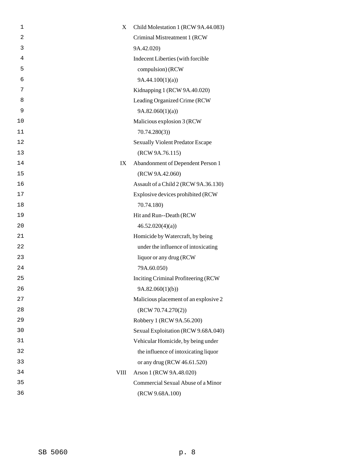| 1              | X    | Child Molestation 1 (RCW 9A.44.083)     |
|----------------|------|-----------------------------------------|
| $\overline{2}$ |      | Criminal Mistreatment 1 (RCW            |
| 3              |      | 9A.42.020)                              |
| 4              |      | Indecent Liberties (with forcible       |
| 5              |      | compulsion) (RCW                        |
| 6              |      | 9A.44.100(1)(a)                         |
| 7              |      | Kidnapping 1 (RCW 9A.40.020)            |
| 8              |      | Leading Organized Crime (RCW            |
| 9              |      | 9A.82.060(1)(a)                         |
| 10             |      | Malicious explosion 3 (RCW              |
| 11             |      | 70.74.280(3)                            |
| 12             |      | <b>Sexually Violent Predator Escape</b> |
| 13             |      | (RCW 9A.76.115)                         |
| 14             | IX   | Abandonment of Dependent Person 1       |
| 15             |      | (RCW 9A.42.060)                         |
| 16             |      | Assault of a Child 2 (RCW 9A.36.130)    |
| 17             |      | Explosive devices prohibited (RCW       |
| 18             |      | 70.74.180)                              |
| 19             |      | Hit and Run--Death (RCW                 |
| 20             |      | 46.52.020(4)(a)                         |
| 21             |      | Homicide by Watercraft, by being        |
| 22             |      | under the influence of intoxicating     |
| 23             |      | liquor or any drug (RCW                 |
| 24             |      | 79A.60.050)                             |
| 25             |      | Inciting Criminal Profiteering (RCW     |
| 26             |      | 9A.82.060(1)(b)                         |
| 27             |      | Malicious placement of an explosive 2   |
| 28             |      | (RCW 70.74.270(2))                      |
| 29             |      | Robbery 1 (RCW 9A.56.200)               |
| 30             |      | Sexual Exploitation (RCW 9.68A.040)     |
| 31             |      | Vehicular Homicide, by being under      |
| 32             |      | the influence of intoxicating liquor    |
| 33             |      | or any drug (RCW 46.61.520)             |
| 34             | VIII | Arson 1 (RCW 9A.48.020)                 |
| 35             |      | Commercial Sexual Abuse of a Minor      |
| 36             |      | (RCW 9.68A.100)                         |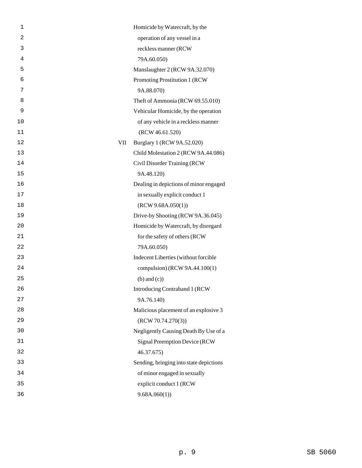| 1  |     | Homicide by Watercraft, by the          |
|----|-----|-----------------------------------------|
| 2  |     | operation of any vessel in a            |
| 3  |     | reckless manner (RCW                    |
| 4  |     | 79A.60.050)                             |
| 5  |     | Manslaughter 2 (RCW 9A.32.070)          |
| 6  |     | Promoting Prostitution 1 (RCW           |
| 7  |     | 9A.88.070)                              |
| 8  |     | Theft of Ammonia (RCW 69.55.010)        |
| 9  |     | Vehicular Homicide, by the operation    |
| 10 |     | of any vehicle in a reckless manner     |
| 11 |     | (RCW 46.61.520)                         |
| 12 | VII | Burglary 1 (RCW 9A.52.020)              |
| 13 |     | Child Molestation 2 (RCW 9A.44.086)     |
| 14 |     | Civil Disorder Training (RCW            |
| 15 |     | 9A.48.120)                              |
| 16 |     | Dealing in depictions of minor engaged  |
| 17 |     | in sexually explicit conduct 1          |
| 18 |     | (RCW 9.68A.050(1))                      |
| 19 |     | Drive-by Shooting (RCW 9A.36.045)       |
| 20 |     | Homicide by Watercraft, by disregard    |
| 21 |     | for the safety of others (RCW           |
| 22 |     | 79A.60.050)                             |
| 23 |     | Indecent Liberties (without forcible    |
| 24 |     | compulsion) (RCW 9A.44.100(1)           |
| 25 |     | $(b)$ and $(c)$ )                       |
| 26 |     | Introducing Contraband 1 (RCW)          |
| 27 |     | 9A.76.140)                              |
| 28 |     | Malicious placement of an explosive 3   |
| 29 |     | (RCW 70.74.270(3))                      |
| 30 |     | Negligently Causing Death By Use of a   |
| 31 |     | Signal Preemption Device (RCW           |
| 32 |     | 46.37.675)                              |
| 33 |     | Sending, bringing into state depictions |
| 34 |     | of minor engaged in sexually            |
| 35 |     | explicit conduct 1 (RCW                 |
| 36 |     | 9.68A.060(1)                            |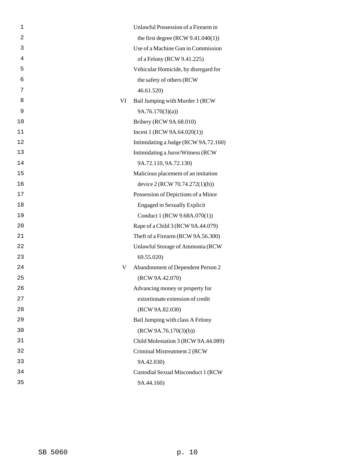| $\mathbf 1$    |    | Unlawful Possession of a Firearm in  |
|----------------|----|--------------------------------------|
| $\overline{2}$ |    | the first degree $(RCW 9.41.040(1))$ |
| 3              |    | Use of a Machine Gun in Commission   |
| 4              |    | of a Felony (RCW 9.41.225)           |
| 5              |    | Vehicular Homicide, by disregard for |
| 6              |    | the safety of others (RCW            |
| 7              |    | 46.61.520)                           |
| 8              | VI | Bail Jumping with Murder 1 (RCW      |
| 9              |    | 9A.76.170(3)(a)                      |
| 10             |    | Bribery (RCW 9A.68.010)              |
| 11             |    | Incest 1 (RCW 9A.64.020(1))          |
| 12             |    | Intimidating a Judge (RCW 9A.72.160) |
| 13             |    | Intimidating a Juror/Witness (RCW    |
| 14             |    | 9A.72.110, 9A.72.130)                |
| 15             |    | Malicious placement of an imitation  |
| 16             |    | device 2 (RCW 70.74.272(1)(b))       |
| 17             |    | Possession of Depictions of a Minor  |
| 18             |    | <b>Engaged in Sexually Explicit</b>  |
| 19             |    | Conduct 1 (RCW 9.68A.070(1))         |
| 20             |    | Rape of a Child 3 (RCW 9A.44.079)    |
| 21             |    | Theft of a Firearm (RCW 9A.56.300)   |
| 22             |    | Unlawful Storage of Ammonia (RCW     |
| 23             |    | 69.55.020)                           |
| 24             | V  | Abandonment of Dependent Person 2    |
| 25             |    | (RCW 9A.42.070)                      |
| 26             |    | Advancing money or property for      |
| 27             |    | extortionate extension of credit     |
| 28             |    | (RCW 9A.82.030)                      |
| 29             |    | Bail Jumping with class A Felony     |
| 30             |    | (RCW 9A.76.170(3)(b))                |
| 31             |    | Child Molestation 3 (RCW 9A.44.089)  |
| 32             |    | Criminal Mistreatment 2 (RCW         |
| 33             |    | 9A.42.030)                           |
| 34             |    | Custodial Sexual Misconduct 1 (RCW   |
| 35             |    | 9A.44.160)                           |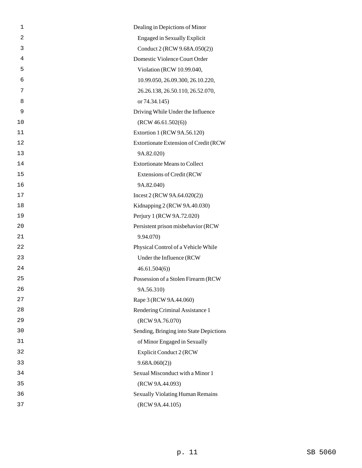| $\mathbf 1$    | Dealing in Depictions of Minor          |
|----------------|-----------------------------------------|
| $\overline{c}$ | <b>Engaged in Sexually Explicit</b>     |
| 3              | Conduct 2 (RCW 9.68A.050(2))            |
| 4              | Domestic Violence Court Order           |
| 5              | Violation (RCW 10.99.040,               |
| 6              | 10.99.050, 26.09.300, 26.10.220,        |
| 7              | 26.26.138, 26.50.110, 26.52.070,        |
| 8              | or 74.34.145)                           |
| 9              | Driving While Under the Influence       |
| 10             | (RCW 46.61.502(6))                      |
| 11             | Extortion 1 (RCW 9A.56.120)             |
| 12             | Extortionate Extension of Credit (RCW   |
| 13             | 9A.82.020)                              |
| 14             | <b>Extortionate Means to Collect</b>    |
| 15             | <b>Extensions of Credit (RCW)</b>       |
| 16             | 9A.82.040)                              |
| 17             | Incest 2 (RCW 9A.64.020(2))             |
| 18             | Kidnapping 2 (RCW 9A.40.030)            |
| 19             | Perjury 1 (RCW 9A.72.020)               |
| 20             | Persistent prison misbehavior (RCW      |
| 21             | 9.94.070)                               |
| 22             | Physical Control of a Vehicle While     |
| 23             | Under the Influence (RCW                |
| 24             | 46.61.504(6)                            |
| 25             | Possession of a Stolen Firearm (RCW     |
| 26             | 9A.56.310)                              |
| 27             | Rape 3 (RCW 9A.44.060)                  |
| 28             | Rendering Criminal Assistance 1         |
| 29             | (RCW 9A.76.070)                         |
| 30             | Sending, Bringing into State Depictions |
| 31             | of Minor Engaged in Sexually            |
| 32             | <b>Explicit Conduct 2 (RCW</b>          |
| 33             | 9.68A.060(2))                           |
| 34             | Sexual Misconduct with a Minor 1        |
| 35             | (RCW 9A.44.093)                         |
| 36             | <b>Sexually Violating Human Remains</b> |
| 37             | (RCW 9A.44.105)                         |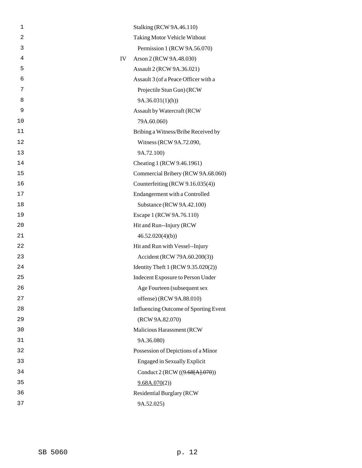| 1              | Stalking (RCW 9A.46.110)              |
|----------------|---------------------------------------|
| $\overline{a}$ | Taking Motor Vehicle Without          |
| 3              | Permission 1 (RCW 9A.56.070)          |
| 4              | IV<br>Arson 2 (RCW 9A.48.030)         |
| 5              | Assault 2 (RCW 9A.36.021)             |
| 6              | Assault 3 (of a Peace Officer with a  |
| 7              | Projectile Stun Gun) (RCW             |
| 8              | 9A.36.031(1)(h)                       |
| 9              | Assault by Watercraft (RCW            |
| 10             | 79A.60.060)                           |
| 11             | Bribing a Witness/Bribe Received by   |
| 12             | Witness (RCW 9A.72.090,               |
| 13             | 9A.72.100)                            |
| 14             | Cheating 1 (RCW 9.46.1961)            |
| 15             | Commercial Bribery (RCW 9A.68.060)    |
| 16             | Counterfeiting (RCW 9.16.035(4))      |
| 17             | Endangerment with a Controlled        |
| 18             | Substance (RCW 9A.42.100)             |
| 19             | Escape 1 (RCW 9A.76.110)              |
| 20             | Hit and Run--Injury (RCW              |
| 21             | 46.52.020(4)(b)                       |
| 22             | Hit and Run with Vessel--Injury       |
| 23             | Accident (RCW 79A.60.200(3))          |
| 24             | Identity Theft 1 (RCW 9.35.020(2))    |
| 25             | Indecent Exposure to Person Under     |
| 26             | Age Fourteen (subsequent sex          |
| 27             | offense) (RCW 9A.88.010)              |
| 28             | Influencing Outcome of Sporting Event |
| 29             | (RCW 9A.82.070)                       |
| 30             | Malicious Harassment (RCW             |
| 31             | 9A.36.080)                            |
| 32             | Possession of Depictions of a Minor   |
| 33             | <b>Engaged in Sexually Explicit</b>   |
| 34             | Conduct 2 (RCW ((9.68[A].070))        |
| 35             | 9.68A.070(2)                          |
| 36             | <b>Residential Burglary (RCW</b>      |
| 37             | 9A.52.025)                            |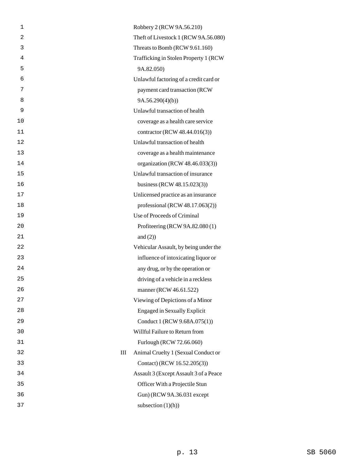| 1              | Robbery 2 (RCW 9A.56.210)                |
|----------------|------------------------------------------|
| $\overline{2}$ | Theft of Livestock 1 (RCW 9A.56.080)     |
| 3              | Threats to Bomb (RCW 9.61.160)           |
| 4              | Trafficking in Stolen Property 1 (RCW)   |
| 5              | 9A.82.050)                               |
| 6              | Unlawful factoring of a credit card or   |
| 7              | payment card transaction (RCW            |
| 8              | 9A.56.290(4)(b)                          |
| 9              | Unlawful transaction of health           |
| 10             | coverage as a health care service        |
| 11             | contractor (RCW 48.44.016(3))            |
| 12             | Unlawful transaction of health           |
| 13             | coverage as a health maintenance         |
| 14             | organization (RCW 48.46.033(3))          |
| 15             | Unlawful transaction of insurance        |
| 16             | business (RCW 48.15.023(3))              |
| 17             | Unlicensed practice as an insurance      |
| 18             | professional (RCW 48.17.063(2))          |
| 19             | Use of Proceeds of Criminal              |
| 20             | Profiteering (RCW 9A.82.080 (1)          |
| 21             | and $(2)$ )                              |
| 22             | Vehicular Assault, by being under the    |
| 23             | influence of intoxicating liquor or      |
| 24             | any drug, or by the operation or         |
| 25             | driving of a vehicle in a reckless       |
| 26             | manner (RCW 46.61.522)                   |
| 27             | Viewing of Depictions of a Minor         |
| 28             | <b>Engaged in Sexually Explicit</b>      |
| 29             | Conduct 1 (RCW 9.68A.075(1))             |
| 30             | Willful Failure to Return from           |
| 31             | Furlough (RCW 72.66.060)                 |
| 32             | Animal Cruelty 1 (Sexual Conduct or<br>Ш |
| 33             | Contact) (RCW 16.52.205(3))              |
| 34             | Assault 3 (Except Assault 3 of a Peace   |
| 35             | Officer With a Projectile Stun           |
| 36             | Gun) (RCW 9A.36.031 except               |
| 37             | subsection $(1)(h)$                      |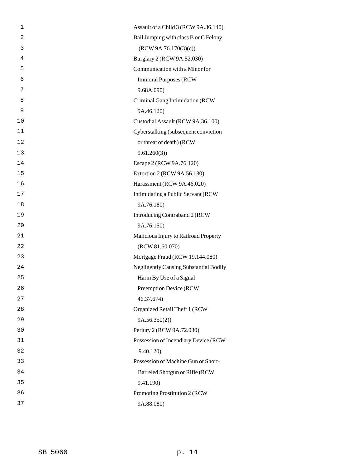| 1              | Assault of a Child 3 (RCW 9A.36.140)          |
|----------------|-----------------------------------------------|
| $\overline{c}$ | Bail Jumping with class B or C Felony         |
| 3              | (RCW 9A.76.170(3)(c))                         |
| 4              | Burglary 2 (RCW 9A.52.030)                    |
| 5              | Communication with a Minor for                |
| 6              | <b>Immoral Purposes (RCW)</b>                 |
| 7              | 9.68A.090)                                    |
| 8              | Criminal Gang Intimidation (RCW               |
| 9              | 9A.46.120)                                    |
| 10             | Custodial Assault (RCW 9A.36.100)             |
| 11             | Cyberstalking (subsequent conviction          |
| 12             | or threat of death) (RCW                      |
| 13             | 9.61.260(3)                                   |
| 14             | Escape 2 (RCW 9A.76.120)                      |
| 15             | Extortion 2 (RCW 9A.56.130)                   |
| 16             | Harassment (RCW 9A.46.020)                    |
| 17             | Intimidating a Public Servant (RCW            |
| 18             | 9A.76.180)                                    |
| 19             | Introducing Contraband 2 (RCW                 |
| 20             | 9A.76.150)                                    |
| 21             | Malicious Injury to Railroad Property         |
| 22             | (RCW 81.60.070)                               |
| 23             | Mortgage Fraud (RCW 19.144.080)               |
| 24             | <b>Negligently Causing Substantial Bodily</b> |
| 25             | Harm By Use of a Signal                       |
| 26             | Preemption Device (RCW                        |
| 27             | 46.37.674)                                    |
| 28             | Organized Retail Theft 1 (RCW                 |
| 29             | 9A.56.350(2))                                 |
| 30             | Perjury 2 (RCW 9A.72.030)                     |
| 31             | Possession of Incendiary Device (RCW          |
| 32             | 9.40.120)                                     |
| 33             | Possession of Machine Gun or Short-           |
| 34             | Barreled Shotgun or Rifle (RCW                |
| 35             | 9.41.190)                                     |
| 36             | Promoting Prostitution 2 (RCW                 |
| 37             | 9A.88.080)                                    |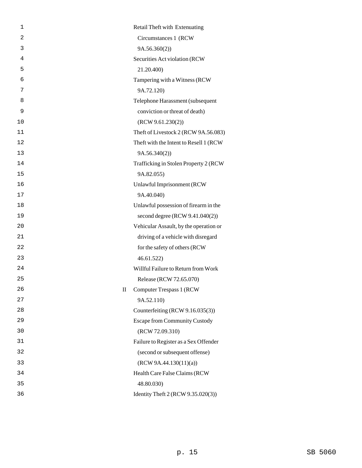| 1  |   | Retail Theft with Extenuating           |
|----|---|-----------------------------------------|
| 2  |   | Circumstances 1 (RCW)                   |
| 3  |   | 9A.56.360(2))                           |
| 4  |   | Securities Act violation (RCW           |
| 5  |   | 21.20.400)                              |
| 6  |   | Tampering with a Witness (RCW           |
| 7  |   | 9A.72.120)                              |
| 8  |   | Telephone Harassment (subsequent        |
| 9  |   | conviction or threat of death)          |
| 10 |   | (RCW 9.61.230(2))                       |
| 11 |   | Theft of Livestock 2 (RCW 9A.56.083)    |
| 12 |   | Theft with the Intent to Resell 1 (RCW) |
| 13 |   | 9A.56.340(2))                           |
| 14 |   | Trafficking in Stolen Property 2 (RCW)  |
| 15 |   | 9A.82.055)                              |
| 16 |   | Unlawful Imprisonment (RCW              |
| 17 |   | 9A.40.040)                              |
| 18 |   | Unlawful possession of firearm in the   |
| 19 |   | second degree $(RCW 9.41.040(2))$       |
| 20 |   | Vehicular Assault, by the operation or  |
| 21 |   | driving of a vehicle with disregard     |
| 22 |   | for the safety of others (RCW           |
| 23 |   | 46.61.522)                              |
| 24 |   | Willful Failure to Return from Work     |
| 25 |   | Release (RCW 72.65.070)                 |
| 26 | П | Computer Trespass 1 (RCW                |
| 27 |   | 9A.52.110)                              |
| 28 |   | Counterfeiting (RCW 9.16.035(3))        |
| 29 |   | <b>Escape from Community Custody</b>    |
| 30 |   | (RCW 72.09.310)                         |
| 31 |   | Failure to Register as a Sex Offender   |
| 32 |   | (second or subsequent offense)          |
| 33 |   | (RCW 9A.44.130(11)(a))                  |
| 34 |   | Health Care False Claims (RCW           |
| 35 |   | 48.80.030)                              |
| 36 |   | Identity Theft 2 (RCW 9.35.020(3))      |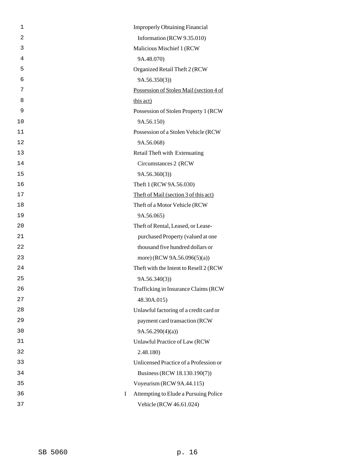| 1              | <b>Improperly Obtaining Financial</b>   |
|----------------|-----------------------------------------|
| $\overline{2}$ | Information (RCW 9.35.010)              |
| 3              | Malicious Mischief 1 (RCW               |
| 4              | 9A.48.070)                              |
| 5              | Organized Retail Theft 2 (RCW           |
| 6              | 9A.56.350(3)                            |
| 7              | Possession of Stolen Mail (section 4 of |
| 8              | this act)                               |
| 9              | Possession of Stolen Property 1 (RCW    |
| 10             | 9A.56.150)                              |
| 11             | Possession of a Stolen Vehicle (RCW     |
| 12             | 9A.56.068)                              |
| 13             | Retail Theft with Extenuating           |
| 14             | Circumstances 2 (RCW)                   |
| 15             | 9A.56.360(3)                            |
| 16             | Theft 1 (RCW 9A.56.030)                 |
| 17             | Theft of Mail (section 3 of this act)   |
| 18             | Theft of a Motor Vehicle (RCW           |
| 19             | 9A.56.065)                              |
| 20             | Theft of Rental, Leased, or Lease-      |
| 21             | purchased Property (valued at one       |
| 22             | thousand five hundred dollars or        |
| 23             | more) (RCW 9A.56.096(5)(a))             |
| 24             | Theft with the Intent to Resell 2 (RCW) |
| 25             | 9A.56.340(3)                            |
| 26             | Trafficking in Insurance Claims (RCW    |
| 27             | 48.30A.015)                             |
| 28             | Unlawful factoring of a credit card or  |
| 29             | payment card transaction (RCW           |
| 30             | 9A.56.290(4)(a)                         |
| 31             | Unlawful Practice of Law (RCW           |
| 32             | 2.48.180)                               |
| 33             | Unlicensed Practice of a Profession or  |
| 34             | Business (RCW 18.130.190(7))            |
| 35             | Voyeurism (RCW 9A.44.115)               |
| 36<br>Ι        | Attempting to Elude a Pursuing Police   |
| 37             | Vehicle (RCW 46.61.024)                 |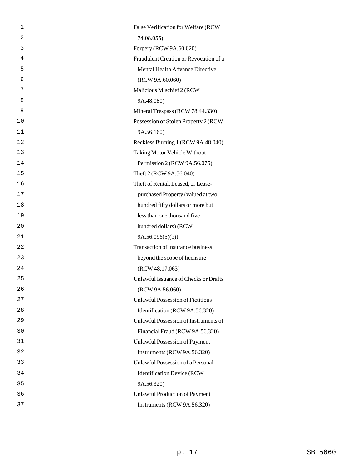| 1  | False Verification for Welfare (RCW      |
|----|------------------------------------------|
| 2  | 74.08.055)                               |
| 3  | Forgery (RCW 9A.60.020)                  |
| 4  | Fraudulent Creation or Revocation of a   |
| 5  | Mental Health Advance Directive          |
| 6  | (RCW 9A.60.060)                          |
| 7  | Malicious Mischief 2 (RCW                |
| 8  | 9A.48.080)                               |
| 9  | Mineral Trespass (RCW 78.44.330)         |
| 10 | Possession of Stolen Property 2 (RCW)    |
| 11 | 9A.56.160)                               |
| 12 | Reckless Burning 1 (RCW 9A.48.040)       |
| 13 | Taking Motor Vehicle Without             |
| 14 | Permission 2 (RCW 9A.56.075)             |
| 15 | Theft 2 (RCW 9A.56.040)                  |
| 16 | Theft of Rental, Leased, or Lease-       |
| 17 | purchased Property (valued at two        |
| 18 | hundred fifty dollars or more but        |
| 19 | less than one thousand five              |
| 20 | hundred dollars) (RCW                    |
| 21 | 9A.56.096(5)(b)                          |
| 22 | Transaction of insurance business        |
| 23 | beyond the scope of licensure            |
| 24 | (RCW 48.17.063)                          |
| 25 | Unlawful Issuance of Checks or Drafts    |
| 26 | (RCW 9A.56.060)                          |
| 27 | <b>Unlawful Possession of Fictitious</b> |
| 28 | Identification (RCW 9A.56.320)           |
| 29 | Unlawful Possession of Instruments of    |
| 30 | Financial Fraud (RCW 9A.56.320)          |
| 31 | Unlawful Possession of Payment           |
| 32 | Instruments (RCW 9A.56.320)              |
| 33 | Unlawful Possession of a Personal        |
| 34 | <b>Identification Device (RCW</b>        |
| 35 | 9A.56.320)                               |
| 36 | Unlawful Production of Payment           |
| 37 | Instruments (RCW 9A.56.320)              |